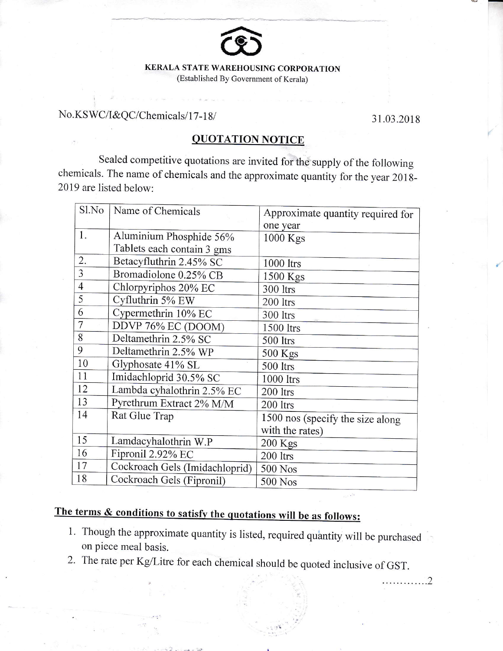

(Established By Government of Kerala)

## No.KSWC/I&QC/Chemicals/17-18/ 31.03.2018

. . . . . . . . . . . . . 2

## OUOTATION NOTICE

Sealed competitive quotations are invited for the supply of the following chemicals. The name of chemicals and the approximate quantity for the year 201g-2019 are listed below:

| Sl.No          | Name of Chemicals              | Approximate quantity required for |
|----------------|--------------------------------|-----------------------------------|
|                |                                | one year                          |
| 1.             | Aluminium Phosphide 56%        | $1000$ Kgs                        |
|                | Tablets each contain 3 gms     |                                   |
| 2.             | Betacyfluthrin 2.45% SC        | 1000 ltrs                         |
| $\overline{3}$ | Bromadiolone 0.25% CB          | 1500 Kgs                          |
| $\overline{4}$ | Chlorpyriphos 20% EC           | 300 ltrs                          |
| 5              | Cyfluthrin 5% EW               | 200 ltrs                          |
| 6              | Cypermethrin 10% EC            | 300 ltrs                          |
| 7              | DDVP 76% EC (DOOM)             | 1500 ltrs                         |
| 8              | Deltamethrin 2.5% SC           | 500 ltrs                          |
| 9              | Deltamethrin 2.5% WP           | 500 Kgs                           |
| 10             | Glyphosate 41% SL              | 500 ltrs                          |
| 11             | Imidachloprid 30.5% SC         | 1000 ltrs                         |
| 12             | Lambda cyhalothrin 2.5% EC     | 200 ltrs                          |
| 13             | Pyrethrum Extract 2% M/M       | 200 ltrs                          |
| 14             | Rat Glue Trap                  | 1500 nos (specify the size along  |
|                |                                | with the rates)                   |
| 15             | Lamdacyhalothrin W.P           | 200 Kgs                           |
| 16             | Fipronil 2.92% EC              | 200 ltrs                          |
| 17             | Cockroach Gels (Imidachloprid) | 500 Nos                           |
| 18             | Cockroach Gels (Fipronil)      | 500 Nos                           |

## The terms & conditions to satisfy the quotations will be as follows:

- 1. Though the approximate quantity is listed, required quantity will be purchased on piece meal basis.
- 2. The rate per Kg/Litre for each chemical should be quoted inclusive of GST.